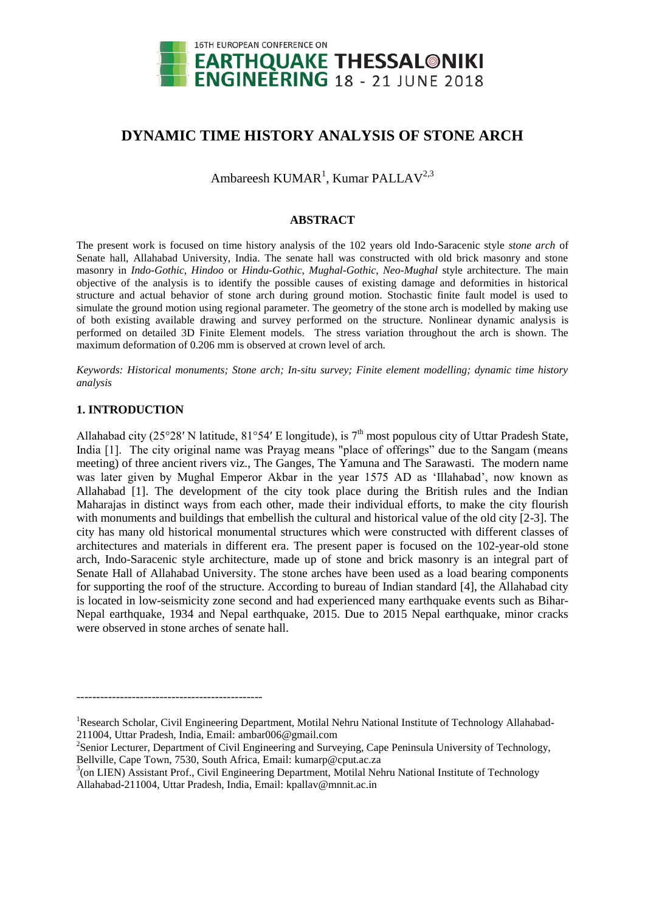

# **DYNAMIC TIME HISTORY ANALYSIS OF STONE ARCH**

Ambareesh KUMAR<sup>1</sup>, Kumar PALLAV<sup>2,3</sup>

# **ABSTRACT**

The present work is focused on time history analysis of the 102 years old Indo-Saracenic style *stone arch* of Senate hall, Allahabad University, India. The senate hall was constructed with old brick masonry and stone masonry in *Indo-Gothic*, *Hindoo* or *Hindu-Gothic*, *Mughal-Gothic*, *Neo-Mughal* style architecture. The main objective of the analysis is to identify the possible causes of existing damage and deformities in historical structure and actual behavior of stone arch during ground motion. Stochastic finite fault model is used to simulate the ground motion using regional parameter. The geometry of the stone arch is modelled by making use of both existing available drawing and survey performed on the structure. Nonlinear dynamic analysis is performed on detailed 3D Finite Element models. The stress variation throughout the arch is shown. The maximum deformation of 0.206 mm is observed at crown level of arch.

*Keywords: Historical monuments; Stone arch; In-situ survey; Finite element modelling; dynamic time history analysis*

# **1. INTRODUCTION**

-----------------------------------------------

Allahabad city (25°28′ N latitude, 81°54′ E longitude), is 7<sup>th</sup> most populous city of Uttar Pradesh State, India [1]. The city original name was Prayag means "place of offerings" due to the Sangam (means meeting) of three ancient rivers viz., The Ganges, The Yamuna and The Sarawasti. The modern name was later given by Mughal Emperor Akbar in the year 1575 AD as 'Illahabad', now known as Allahabad [1]. The development of the city took place during the British rules and the Indian Maharajas in distinct ways from each other, made their individual efforts, to make the city flourish with monuments and buildings that embellish the cultural and historical value of the old city [2-3]. The city has many old historical monumental structures which were constructed with different classes of architectures and materials in different era. The present paper is focused on the 102-year-old stone arch, Indo-Saracenic style architecture, made up of stone and brick masonry is an integral part of Senate Hall of Allahabad University. The stone arches have been used as a load bearing components for supporting the roof of the structure. According to bureau of Indian standard [4], the Allahabad city is located in low-seismicity zone second and had experienced many earthquake events such as Bihar-Nepal earthquake, 1934 and Nepal earthquake, 2015. Due to 2015 Nepal earthquake, minor cracks were observed in stone arches of senate hall.

<sup>&</sup>lt;sup>1</sup>Research Scholar, Civil Engineering Department, Motilal Nehru National Institute of Technology Allahabad-211004, Uttar Pradesh, India, Email: ambar006@gmail.com

 $2$ Senior Lecturer, Department of Civil Engineering and Surveying, Cape Peninsula University of Technology, Bellville, Cape Town, 7530, South Africa, Email: kumarp@cput.ac.za

<sup>&</sup>lt;sup>3</sup>(on LIEN) Assistant Prof., Civil Engineering Department, Motilal Nehru National Institute of Technology Allahabad-211004, Uttar Pradesh, India, Email: kpallav@mnnit.ac.in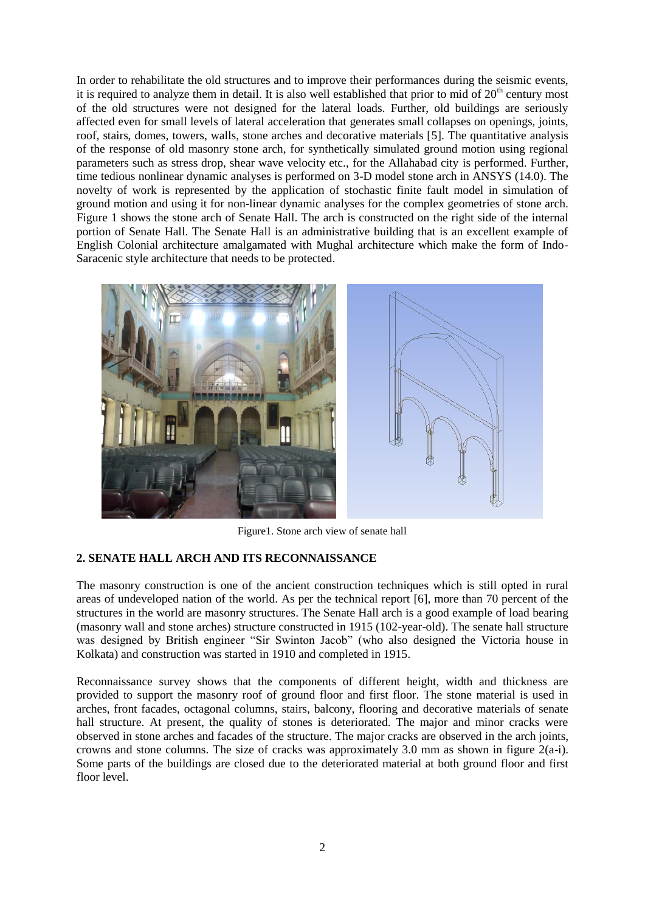In order to rehabilitate the old structures and to improve their performances during the seismic events, it is required to analyze them in detail. It is also well established that prior to mid of  $20<sup>th</sup>$  century most of the old structures were not designed for the lateral loads. Further, old buildings are seriously affected even for small levels of lateral acceleration that generates small collapses on openings, joints, roof, stairs, domes, towers, walls, stone arches and decorative materials [5]. The quantitative analysis of the response of old masonry stone arch, for synthetically simulated ground motion using regional parameters such as stress drop, shear wave velocity etc., for the Allahabad city is performed. Further, time tedious nonlinear dynamic analyses is performed on 3-D model stone arch in ANSYS (14.0). The novelty of work is represented by the application of stochastic finite fault model in simulation of ground motion and using it for non-linear dynamic analyses for the complex geometries of stone arch. Figure 1 shows the stone arch of Senate Hall. The arch is constructed on the right side of the internal portion of Senate Hall. The Senate Hall is an administrative building that is an excellent example of English Colonial architecture amalgamated with Mughal architecture which make the form of Indo-Saracenic style architecture that needs to be protected.



Figure1. Stone arch view of senate hall

## **2. SENATE HALL ARCH AND ITS RECONNAISSANCE**

The masonry construction is one of the ancient construction techniques which is still opted in rural areas of undeveloped nation of the world. As per the technical report [6], more than 70 percent of the structures in the world are masonry structures. The Senate Hall arch is a good example of load bearing (masonry wall and stone arches) structure constructed in 1915 (102-year-old). The senate hall structure was designed by British engineer "Sir Swinton Jacob" (who also designed the Victoria house in Kolkata) and construction was started in 1910 and completed in 1915.

Reconnaissance survey shows that the components of different height, width and thickness are provided to support the masonry roof of ground floor and first floor. The stone material is used in arches, front facades, octagonal columns, stairs, balcony, flooring and decorative materials of senate hall structure. At present, the quality of stones is deteriorated. The major and minor cracks were observed in stone arches and facades of the structure. The major cracks are observed in the arch joints, crowns and stone columns. The size of cracks was approximately 3.0 mm as shown in figure 2(a-i). Some parts of the buildings are closed due to the deteriorated material at both ground floor and first floor level.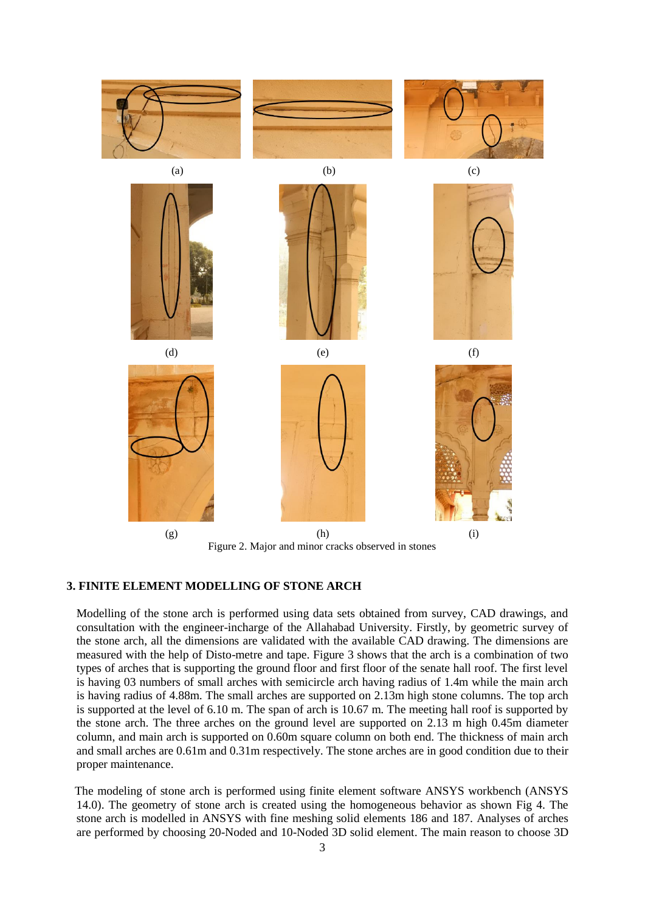

# **3. FINITE ELEMENT MODELLING OF STONE ARCH**

Modelling of the stone arch is performed using data sets obtained from survey, CAD drawings, and consultation with the engineer-incharge of the Allahabad University. Firstly, by geometric survey of the stone arch, all the dimensions are validated with the available CAD drawing. The dimensions are measured with the help of Disto-metre and tape. Figure 3 shows that the arch is a combination of two types of arches that is supporting the ground floor and first floor of the senate hall roof. The first level is having 03 numbers of small arches with semicircle arch having radius of 1.4m while the main arch is having radius of 4.88m. The small arches are supported on 2.13m high stone columns. The top arch is supported at the level of 6.10 m. The span of arch is 10.67 m. The meeting hall roof is supported by the stone arch. The three arches on the ground level are supported on 2.13 m high 0.45m diameter column, and main arch is supported on 0.60m square column on both end. The thickness of main arch and small arches are 0.61m and 0.31m respectively. The stone arches are in good condition due to their proper maintenance.

 The modeling of stone arch is performed using finite element software ANSYS workbench (ANSYS 14.0). The geometry of stone arch is created using the homogeneous behavior as shown Fig 4. The stone arch is modelled in ANSYS with fine meshing solid elements 186 and 187. Analyses of arches are performed by choosing 20-Noded and 10-Noded 3D solid element. The main reason to choose 3D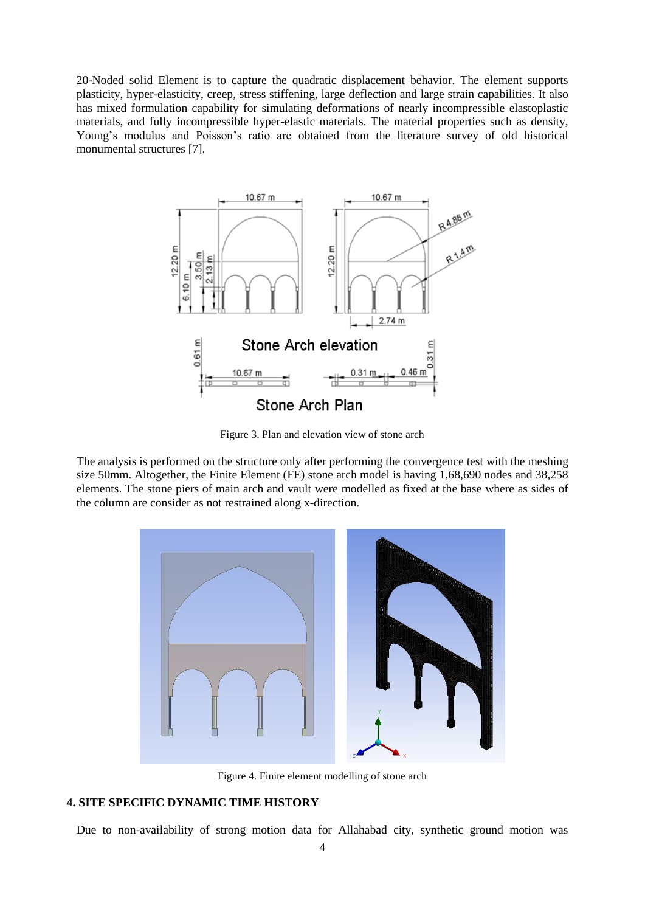20-Noded solid Element is to capture the quadratic displacement behavior. The element supports plasticity, hyper-elasticity, creep, stress stiffening, large deflection and large strain capabilities. It also has mixed formulation capability for simulating deformations of nearly incompressible elastoplastic materials, and fully incompressible hyper-elastic materials. The material properties such as density, Young's modulus and Poisson's ratio are obtained from the literature survey of old historical monumental structures [7].



Figure 3. Plan and elevation view of stone arch

The analysis is performed on the structure only after performing the convergence test with the meshing size 50mm. Altogether, the Finite Element (FE) stone arch model is having 1,68,690 nodes and 38,258 elements. The stone piers of main arch and vault were modelled as fixed at the base where as sides of the column are consider as not restrained along x-direction.



Figure 4. Finite element modelling of stone arch

## **4. SITE SPECIFIC DYNAMIC TIME HISTORY**

Due to non-availability of strong motion data for Allahabad city, synthetic ground motion was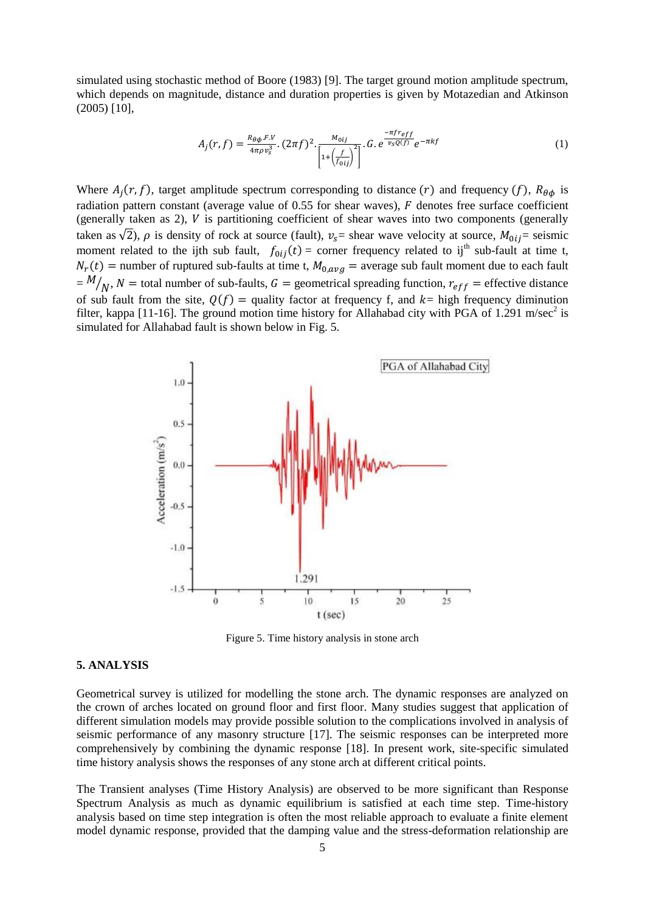simulated using stochastic method of Boore (1983) [9]. The target ground motion amplitude spectrum, which depends on magnitude, distance and duration properties is given by Motazedian and Atkinson (2005) [10],

$$
A_j(r,f) = \frac{R_{\theta\phi}F.V}{4\pi\rho v_s^3} \cdot (2\pi f)^2 \cdot \frac{M_{0ij}}{\left[1 + \left(\frac{f}{f_{0ij}}\right)^2\right]} \cdot G \cdot e^{\frac{-\pi f r_{eff}}{v_s Q(f)}} e^{-\pi k f}
$$
(1)

Where  $A_i(r, f)$ , target amplitude spectrum corresponding to distance (r) and frequency (f),  $R_{\theta\phi}$  is radiation pattern constant (average value of  $0.55$  for shear waves),  $F$  denotes free surface coefficient (generally taken as  $2$ ),  $V$  is partitioning coefficient of shear waves into two components (generally taken as  $\sqrt{2}$ ),  $\rho$  is density of rock at source (fault),  $v_s$  = shear wave velocity at source,  $M_{0i}$  = seismic moment related to the ijth sub fault,  $f_{0ij}(t)$  = corner frequency related to ij<sup>th</sup> sub-fault at time t,  $N_r(t)$  = number of ruptured sub-faults at time t,  $M_{0,avg}$  = average sub fault moment due to each fault  $=$   $^{M}/_{N}$ , N = total number of sub-faults, G = geometrical spreading function,  $r_{eff}$  = effective distance of sub fault from the site,  $Q(f)$  = quality factor at frequency f, and  $k$  = high frequency diminution filter, kappa [11-16]. The ground motion time history for Allahabad city with PGA of 1.291 m/sec<sup>2</sup> is simulated for Allahabad fault is shown below in Fig. 5.



Figure 5. Time history analysis in stone arch

#### **5. ANALYSIS**

Geometrical survey is utilized for modelling the stone arch. The dynamic responses are analyzed on the crown of arches located on ground floor and first floor. Many studies suggest that application of different simulation models may provide possible solution to the complications involved in analysis of seismic performance of any masonry structure [17]. The seismic responses can be interpreted more comprehensively by combining the dynamic response [18]. In present work, site-specific simulated time history analysis shows the responses of any stone arch at different critical points.

The Transient analyses (Time History Analysis) are observed to be more significant than Response Spectrum Analysis as much as dynamic equilibrium is satisfied at each time step. Time-history analysis based on time step integration is often the most reliable approach to evaluate a finite element model dynamic response, provided that the damping value and the stress-deformation relationship are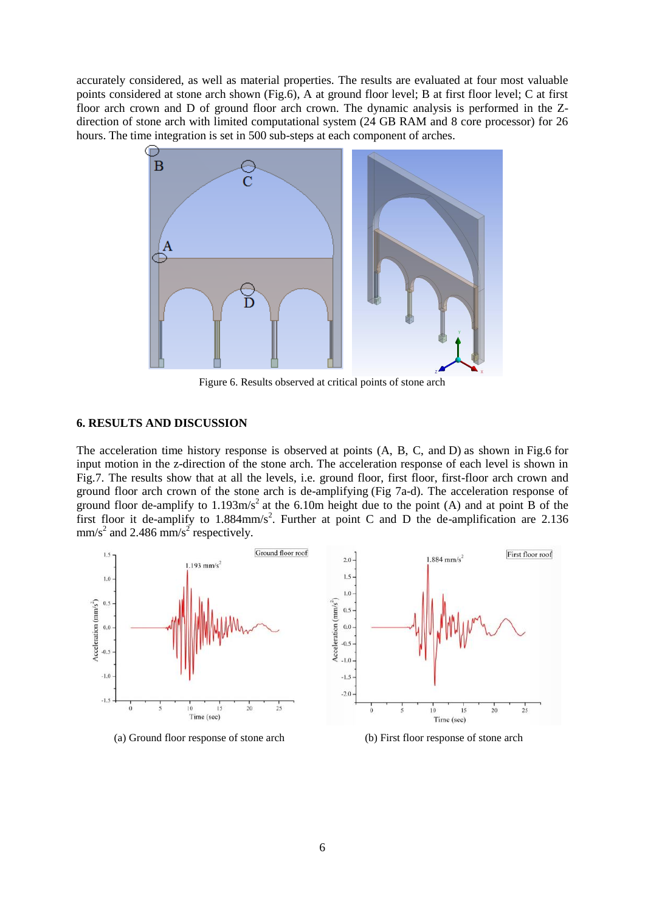accurately considered, as well as material properties. The results are evaluated at four most valuable points considered at stone arch shown (Fig.6), A at ground floor level; B at first floor level; C at first floor arch crown and D of ground floor arch crown. The dynamic analysis is performed in the Zdirection of stone arch with limited computational system (24 GB RAM and 8 core processor) for 26 hours. The time integration is set in 500 sub-steps at each component of arches.



Figure 6. Results observed at critical points of stone arch

## **6. RESULTS AND DISCUSSION**

The acceleration time history response is observed at points (A, B, C, and D) as shown in Fig.6 for input motion in the z-direction of the stone arch. The acceleration response of each level is shown in Fig.7. The results show that at all the levels, i.e. ground floor, first floor, first-floor arch crown and ground floor arch crown of the stone arch is de-amplifying (Fig 7a-d). The acceleration response of ground floor de-amplify to  $1.193 \text{m/s}^2$  at the 6.10m height due to the point (A) and at point B of the first floor it de-amplify to  $1.884$ mm/s<sup>2</sup>. Further at point C and D the de-amplification are 2.136  $mm/s<sup>2</sup>$  and 2.486 mm/s<sup>2</sup> respectively.



(a) Ground floor response of stone arch (b) First floor response of stone arch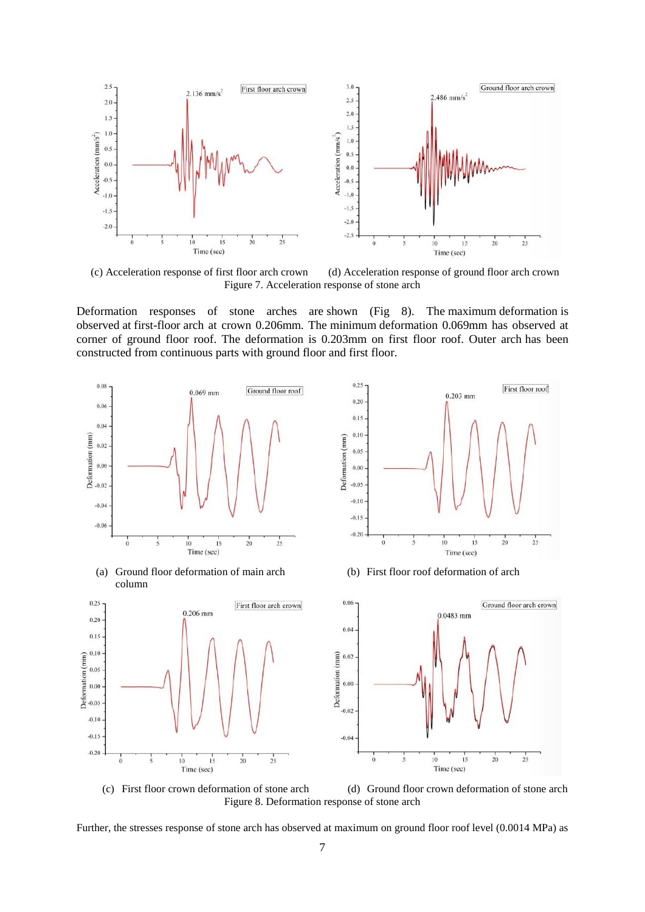

(c) Acceleration response of first floor arch crown (d) Acceleration response of ground floor arch crown Figure 7. Acceleration response of stone arch

Deformation responses of stone arches are shown (Fig 8). The maximum deformation is observed at first-floor arch at crown 0.206mm. The minimum deformation 0.069mm has observed at corner of ground floor roof. The deformation is 0.203mm on first floor roof. Outer arch has been constructed from continuous parts with ground floor and first floor.





Further, the stresses response of stone arch has observed at maximum on ground floor roof level (0.0014 MPa) as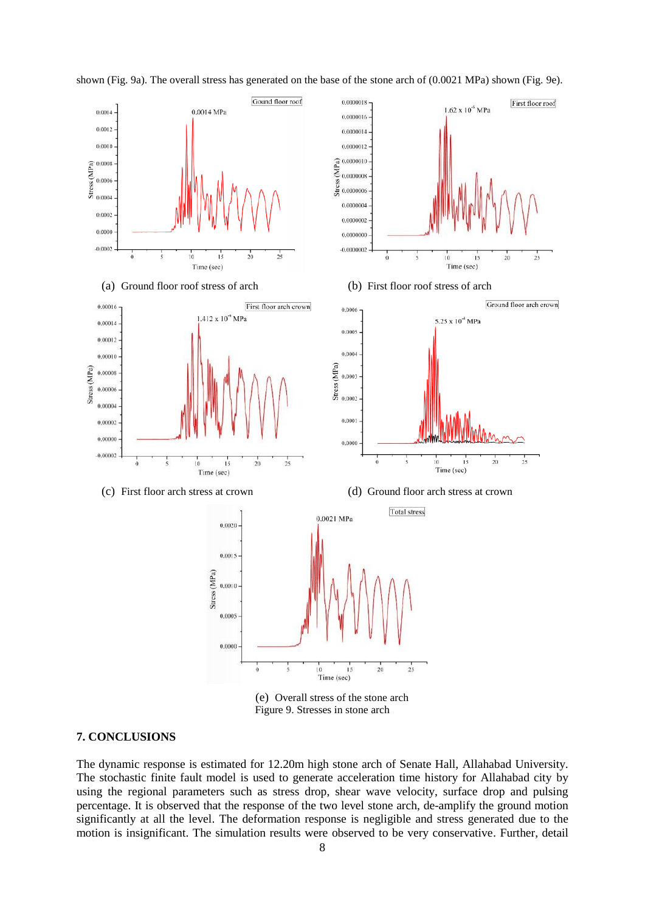



#### **7. CONCLUSIONS**

The dynamic response is estimated for 12.20m high stone arch of Senate Hall, Allahabad University. The stochastic finite fault model is used to generate acceleration time history for Allahabad city by using the regional parameters such as stress drop, shear wave velocity, surface drop and pulsing percentage. It is observed that the response of the two level stone arch, de-amplify the ground motion significantly at all the level. The deformation response is negligible and stress generated due to the motion is insignificant. The simulation results were observed to be very conservative. Further, detail